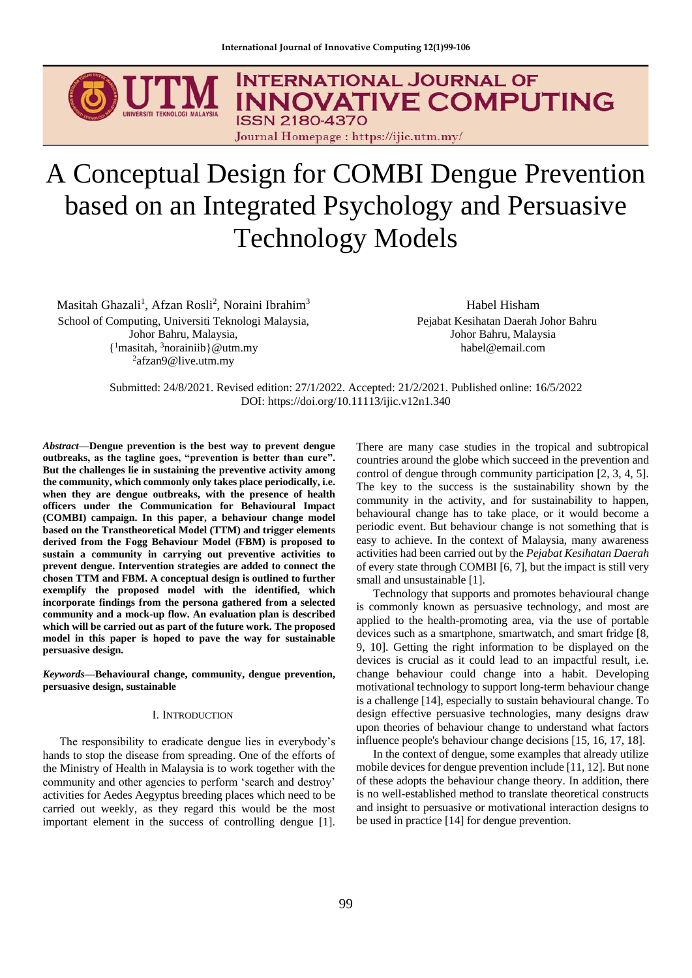

# A Conceptual Design for COMBI Dengue Prevention based on an Integrated Psychology and Persuasive Technology Models

Masitah Ghazali<sup>1</sup>, Afzan Rosli<sup>2</sup>, Noraini Ibrahim<sup>3</sup> School of Computing, Universiti Teknologi Malaysia, Johor Bahru, Malaysia, { <sup>1</sup>masitah, <sup>3</sup>norainiib}@utm.my <sup>2</sup>afzan9@live.utm.my

Habel Hisham Pejabat Kesihatan Daerah Johor Bahru Johor Bahru, Malaysia habel@email.com

Submitted: 24/8/2021. Revised edition: 27/1/2022. Accepted: 21/2/2021. Published online: 16/5/2022 DOI: https://doi.org/10.11113/ijic.v12n1.340

*Abstract***—Dengue prevention is the best way to prevent dengue outbreaks, as the tagline goes, "prevention is better than cure". But the challenges lie in sustaining the preventive activity among the community, which commonly only takes place periodically, i.e. when they are dengue outbreaks, with the presence of health officers under the Communication for Behavioural Impact (COMBI) campaign. In this paper, a behaviour change model based on the Transtheoretical Model (TTM) and trigger elements derived from the Fogg Behaviour Model (FBM) is proposed to sustain a community in carrying out preventive activities to prevent dengue. Intervention strategies are added to connect the chosen TTM and FBM. A conceptual design is outlined to further exemplify the proposed model with the identified, which incorporate findings from the persona gathered from a selected community and a mock-up flow. An evaluation plan is described which will be carried out as part of the future work. The proposed model in this paper is hoped to pave the way for sustainable persuasive design.**

*Keywords***—Behavioural change, community, dengue prevention, persuasive design, sustainable**

## I. INTRODUCTION

The responsibility to eradicate dengue lies in everybody's hands to stop the disease from spreading. One of the efforts of the Ministry of Health in Malaysia is to work together with the community and other agencies to perform 'search and destroy' activities for Aedes Aegyptus breeding places which need to be carried out weekly, as they regard this would be the most important element in the success of controlling dengue [1].

There are many case studies in the tropical and subtropical countries around the globe which succeed in the prevention and control of dengue through community participation [2, 3, 4, 5]. The key to the success is the sustainability shown by the community in the activity, and for sustainability to happen, behavioural change has to take place, or it would become a periodic event. But behaviour change is not something that is easy to achieve. In the context of Malaysia, many awareness activities had been carried out by the *Pejabat Kesihatan Daerah* of every state through COMBI [6, 7], but the impact is still very small and unsustainable [1].

Technology that supports and promotes behavioural change is commonly known as persuasive technology, and most are applied to the health-promoting area, via the use of portable devices such as a smartphone, smartwatch, and smart fridge [8, 9, 10]. Getting the right information to be displayed on the devices is crucial as it could lead to an impactful result, i.e. change behaviour could change into a habit. Developing motivational technology to support long-term behaviour change is a challenge [14], especially to sustain behavioural change. To design effective persuasive technologies, many designs draw upon theories of behaviour change to understand what factors influence people's behaviour change decisions [15, 16, 17, 18].

In the context of dengue, some examples that already utilize mobile devices for dengue prevention include [11, 12]. But none of these adopts the behaviour change theory. In addition, there is no well-established method to translate theoretical constructs and insight to persuasive or motivational interaction designs to be used in practice [14] for dengue prevention.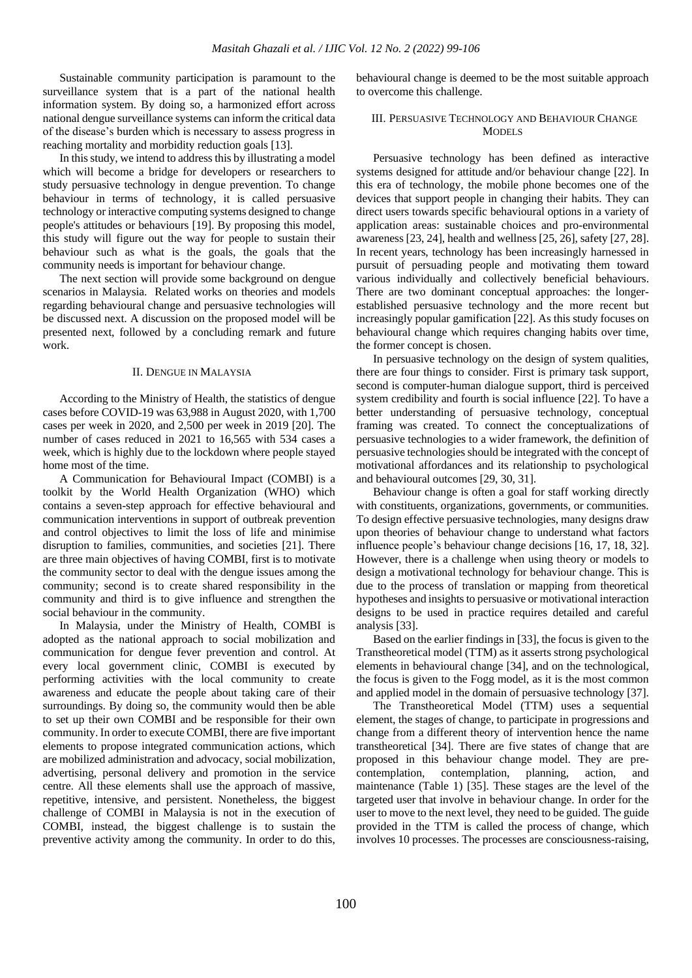Sustainable community participation is paramount to the surveillance system that is a part of the national health information system. By doing so, a harmonized effort across national dengue surveillance systems can inform the critical data of the disease's burden which is necessary to assess progress in reaching mortality and morbidity reduction goals [13].

In this study, we intend to address this by illustrating a model which will become a bridge for developers or researchers to study persuasive technology in dengue prevention. To change behaviour in terms of technology, it is called persuasive technology or interactive computing systems designed to change people's attitudes or behaviours [19]. By proposing this model, this study will figure out the way for people to sustain their behaviour such as what is the goals, the goals that the community needs is important for behaviour change.

The next section will provide some background on dengue scenarios in Malaysia. Related works on theories and models regarding behavioural change and persuasive technologies will be discussed next. A discussion on the proposed model will be presented next, followed by a concluding remark and future work.

#### II. DENGUE IN MALAYSIA

According to the Ministry of Health, the statistics of dengue cases before COVID-19 was 63,988 in August 2020, with 1,700 cases per week in 2020, and 2,500 per week in 2019 [20]. The number of cases reduced in 2021 to 16,565 with 534 cases a week, which is highly due to the lockdown where people stayed home most of the time.

A Communication for Behavioural Impact (COMBI) is a toolkit by the World Health Organization (WHO) which contains a seven-step approach for effective behavioural and communication interventions in support of outbreak prevention and control objectives to limit the loss of life and minimise disruption to families, communities, and societies [21]. There are three main objectives of having COMBI, first is to motivate the community sector to deal with the dengue issues among the community; second is to create shared responsibility in the community and third is to give influence and strengthen the social behaviour in the community.

In Malaysia, under the Ministry of Health, COMBI is adopted as the national approach to social mobilization and communication for dengue fever prevention and control. At every local government clinic, COMBI is executed by performing activities with the local community to create awareness and educate the people about taking care of their surroundings. By doing so, the community would then be able to set up their own COMBI and be responsible for their own community. In order to execute COMBI, there are five important elements to propose integrated communication actions, which are mobilized administration and advocacy, social mobilization, advertising, personal delivery and promotion in the service centre. All these elements shall use the approach of massive, repetitive, intensive, and persistent. Nonetheless, the biggest challenge of COMBI in Malaysia is not in the execution of COMBI, instead, the biggest challenge is to sustain the preventive activity among the community. In order to do this, behavioural change is deemed to be the most suitable approach to overcome this challenge.

## III. PERSUASIVE TECHNOLOGY AND BEHAVIOUR CHANGE MODELS

Persuasive technology has been defined as interactive systems designed for attitude and/or behaviour change [22]. In this era of technology, the mobile phone becomes one of the devices that support people in changing their habits. They can direct users towards specific behavioural options in a variety of application areas: sustainable choices and pro-environmental awareness [23, 24], health and wellness [25, 26], safety [27, 28]. In recent years, technology has been increasingly harnessed in pursuit of persuading people and motivating them toward various individually and collectively beneficial behaviours. There are two dominant conceptual approaches: the longerestablished persuasive technology and the more recent but increasingly popular gamification [22]. As this study focuses on behavioural change which requires changing habits over time, the former concept is chosen.

In persuasive technology on the design of system qualities, there are four things to consider. First is primary task support, second is computer-human dialogue support, third is perceived system credibility and fourth is social influence [22]. To have a better understanding of persuasive technology, conceptual framing was created. To connect the conceptualizations of persuasive technologies to a wider framework, the definition of persuasive technologies should be integrated with the concept of motivational affordances and its relationship to psychological and behavioural outcomes [29, 30, 31].

Behaviour change is often a goal for staff working directly with constituents, organizations, governments, or communities. To design effective persuasive technologies, many designs draw upon theories of behaviour change to understand what factors influence people's behaviour change decisions [16, 17, 18, 32]. However, there is a challenge when using theory or models to design a motivational technology for behaviour change. This is due to the process of translation or mapping from theoretical hypotheses and insights to persuasive or motivational interaction designs to be used in practice requires detailed and careful analysis [33].

Based on the earlier findings in [33], the focus is given to the Transtheoretical model (TTM) as it asserts strong psychological elements in behavioural change [34], and on the technological, the focus is given to the Fogg model, as it is the most common and applied model in the domain of persuasive technology [37].

The Transtheoretical Model (TTM) uses a sequential element, the stages of change, to participate in progressions and change from a different theory of intervention hence the name transtheoretical [34]. There are five states of change that are proposed in this behaviour change model. They are precontemplation, contemplation, planning, action, and maintenance (Table 1) [35]. These stages are the level of the targeted user that involve in behaviour change. In order for the user to move to the next level, they need to be guided. The guide provided in the TTM is called the process of change, which involves 10 processes. The processes are consciousness-raising,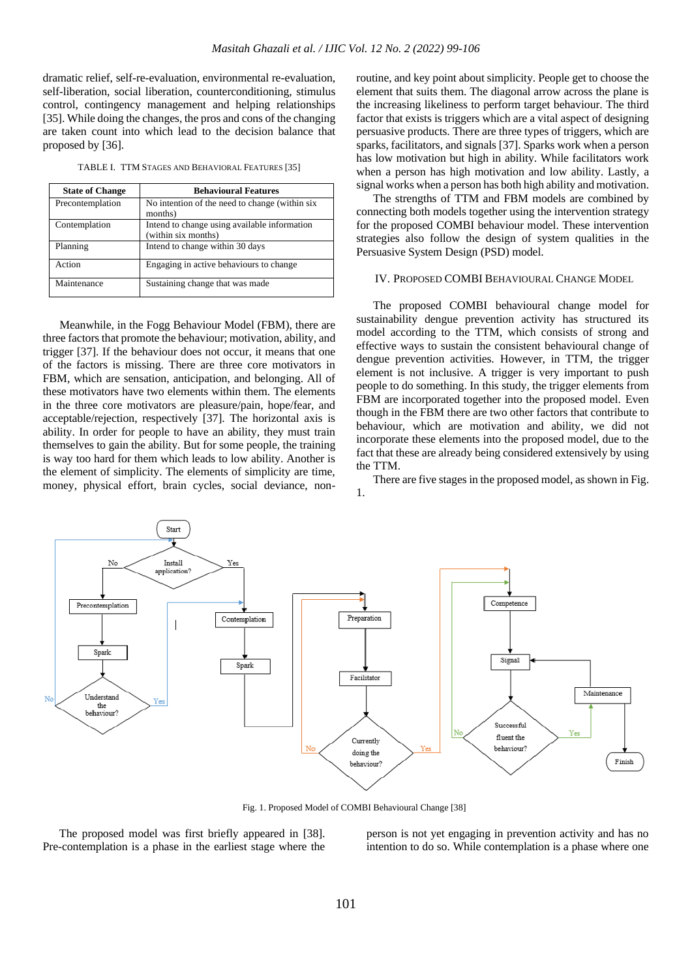dramatic relief, self-re-evaluation, environmental re-evaluation, self-liberation, social liberation, counterconditioning, stimulus control, contingency management and helping relationships [35]. While doing the changes, the pros and cons of the changing are taken count into which lead to the decision balance that proposed by [36].

TABLE I. TTM STAGES AND BEHAVIORAL FEATURES [35]

| <b>State of Change</b> | <b>Behavioural Features</b>                                         |  |  |
|------------------------|---------------------------------------------------------------------|--|--|
| Precontemplation       | No intention of the need to change (within six<br>months)           |  |  |
| Contemplation          | Intend to change using available information<br>(within six months) |  |  |
| Planning               | Intend to change within 30 days                                     |  |  |
| Action                 | Engaging in active behaviours to change                             |  |  |
| Maintenance            | Sustaining change that was made                                     |  |  |

Meanwhile, in the Fogg Behaviour Model (FBM), there are three factors that promote the behaviour; motivation, ability, and trigger [37]. If the behaviour does not occur, it means that one of the factors is missing. There are three core motivators in FBM, which are sensation, anticipation, and belonging. All of these motivators have two elements within them. The elements in the three core motivators are pleasure/pain, hope/fear, and acceptable/rejection, respectively [37]. The horizontal axis is ability. In order for people to have an ability, they must train themselves to gain the ability. But for some people, the training is way too hard for them which leads to low ability. Another is the element of simplicity. The elements of simplicity are time, money, physical effort, brain cycles, social deviance, non-

routine, and key point about simplicity. People get to choose the element that suits them. The diagonal arrow across the plane is the increasing likeliness to perform target behaviour. The third factor that exists is triggers which are a vital aspect of designing persuasive products. There are three types of triggers, which are sparks, facilitators, and signals [37]. Sparks work when a person has low motivation but high in ability. While facilitators work when a person has high motivation and low ability. Lastly, a signal works when a person has both high ability and motivation.

The strengths of TTM and FBM models are combined by connecting both models together using the intervention strategy for the proposed COMBI behaviour model. These intervention strategies also follow the design of system qualities in the Persuasive System Design (PSD) model.

## IV. PROPOSED COMBI BEHAVIOURAL CHANGE MODEL

The proposed COMBI behavioural change model for sustainability dengue prevention activity has structured its model according to the TTM, which consists of strong and effective ways to sustain the consistent behavioural change of dengue prevention activities. However, in TTM, the trigger element is not inclusive. A trigger is very important to push people to do something. In this study, the trigger elements from FBM are incorporated together into the proposed model. Even though in the FBM there are two other factors that contribute to behaviour, which are motivation and ability, we did not incorporate these elements into the proposed model, due to the fact that these are already being considered extensively by using the TTM.

There are five stages in the proposed model, as shown in Fig. 1.



Fig. 1. Proposed Model of COMBI Behavioural Change [38]

The proposed model was first briefly appeared in [38]. Pre-contemplation is a phase in the earliest stage where the person is not yet engaging in prevention activity and has no intention to do so. While contemplation is a phase where one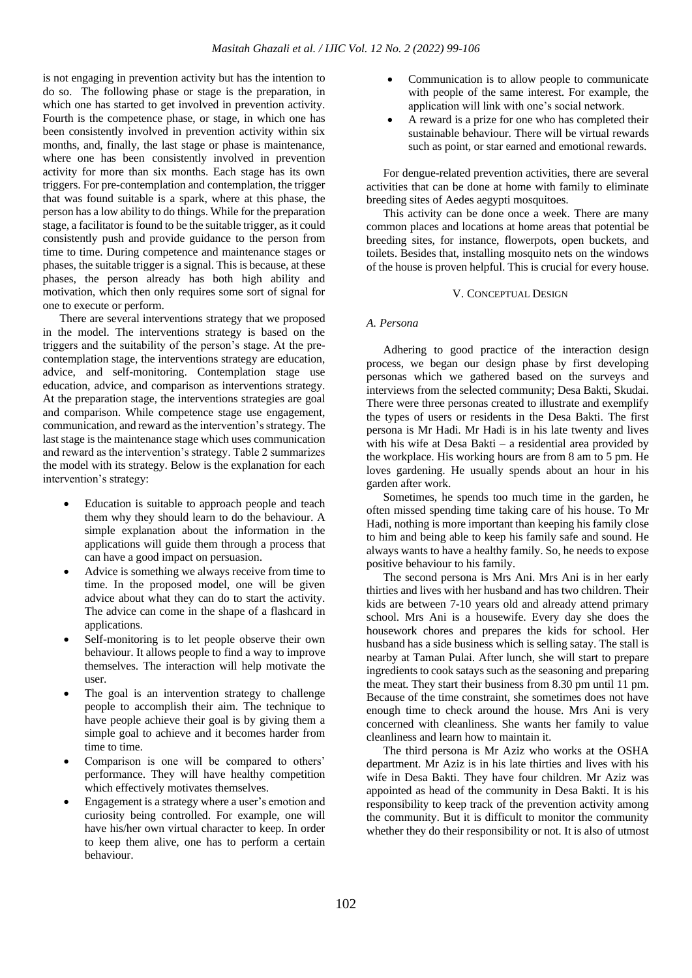is not engaging in prevention activity but has the intention to do so. The following phase or stage is the preparation, in which one has started to get involved in prevention activity. Fourth is the competence phase, or stage, in which one has been consistently involved in prevention activity within six months, and, finally, the last stage or phase is maintenance, where one has been consistently involved in prevention activity for more than six months. Each stage has its own triggers. For pre-contemplation and contemplation, the trigger that was found suitable is a spark, where at this phase, the person has a low ability to do things. While for the preparation stage, a facilitator is found to be the suitable trigger, as it could consistently push and provide guidance to the person from time to time. During competence and maintenance stages or phases, the suitable trigger is a signal. This is because, at these phases, the person already has both high ability and motivation, which then only requires some sort of signal for one to execute or perform.

There are several interventions strategy that we proposed in the model. The interventions strategy is based on the triggers and the suitability of the person's stage. At the precontemplation stage, the interventions strategy are education, advice, and self-monitoring. Contemplation stage use education, advice, and comparison as interventions strategy. At the preparation stage, the interventions strategies are goal and comparison. While competence stage use engagement, communication, and reward as the intervention's strategy. The last stage is the maintenance stage which uses communication and reward as the intervention's strategy. Table 2 summarizes the model with its strategy. Below is the explanation for each intervention's strategy:

- Education is suitable to approach people and teach them why they should learn to do the behaviour. A simple explanation about the information in the applications will guide them through a process that can have a good impact on persuasion.
- Advice is something we always receive from time to time. In the proposed model, one will be given advice about what they can do to start the activity. The advice can come in the shape of a flashcard in applications.
- Self-monitoring is to let people observe their own behaviour. It allows people to find a way to improve themselves. The interaction will help motivate the user.
- The goal is an intervention strategy to challenge people to accomplish their aim. The technique to have people achieve their goal is by giving them a simple goal to achieve and it becomes harder from time to time.
- Comparison is one will be compared to others' performance. They will have healthy competition which effectively motivates themselves.
- Engagement is a strategy where a user's emotion and curiosity being controlled. For example, one will have his/her own virtual character to keep. In order to keep them alive, one has to perform a certain behaviour.
- Communication is to allow people to communicate with people of the same interest. For example, the application will link with one's social network.
- A reward is a prize for one who has completed their sustainable behaviour. There will be virtual rewards such as point, or star earned and emotional rewards.

For dengue-related prevention activities, there are several activities that can be done at home with family to eliminate breeding sites of Aedes aegypti mosquitoes.

This activity can be done once a week. There are many common places and locations at home areas that potential be breeding sites, for instance, flowerpots, open buckets, and toilets. Besides that, installing mosquito nets on the windows of the house is proven helpful. This is crucial for every house.

#### V. CONCEPTUAL DESIGN

## *A. Persona*

Adhering to good practice of the interaction design process, we began our design phase by first developing personas which we gathered based on the surveys and interviews from the selected community; Desa Bakti, Skudai. There were three personas created to illustrate and exemplify the types of users or residents in the Desa Bakti. The first persona is Mr Hadi. Mr Hadi is in his late twenty and lives with his wife at Desa Bakti – a residential area provided by the workplace. His working hours are from 8 am to 5 pm. He loves gardening. He usually spends about an hour in his garden after work.

Sometimes, he spends too much time in the garden, he often missed spending time taking care of his house. To Mr Hadi, nothing is more important than keeping his family close to him and being able to keep his family safe and sound. He always wants to have a healthy family. So, he needs to expose positive behaviour to his family.

The second persona is Mrs Ani. Mrs Ani is in her early thirties and lives with her husband and has two children. Their kids are between 7-10 years old and already attend primary school. Mrs Ani is a housewife. Every day she does the housework chores and prepares the kids for school. Her husband has a side business which is selling satay. The stall is nearby at Taman Pulai. After lunch, she will start to prepare ingredients to cook satays such as the seasoning and preparing the meat. They start their business from 8.30 pm until 11 pm. Because of the time constraint, she sometimes does not have enough time to check around the house. Mrs Ani is very concerned with cleanliness. She wants her family to value cleanliness and learn how to maintain it.

The third persona is Mr Aziz who works at the OSHA department. Mr Aziz is in his late thirties and lives with his wife in Desa Bakti. They have four children. Mr Aziz was appointed as head of the community in Desa Bakti. It is his responsibility to keep track of the prevention activity among the community. But it is difficult to monitor the community whether they do their responsibility or not. It is also of utmost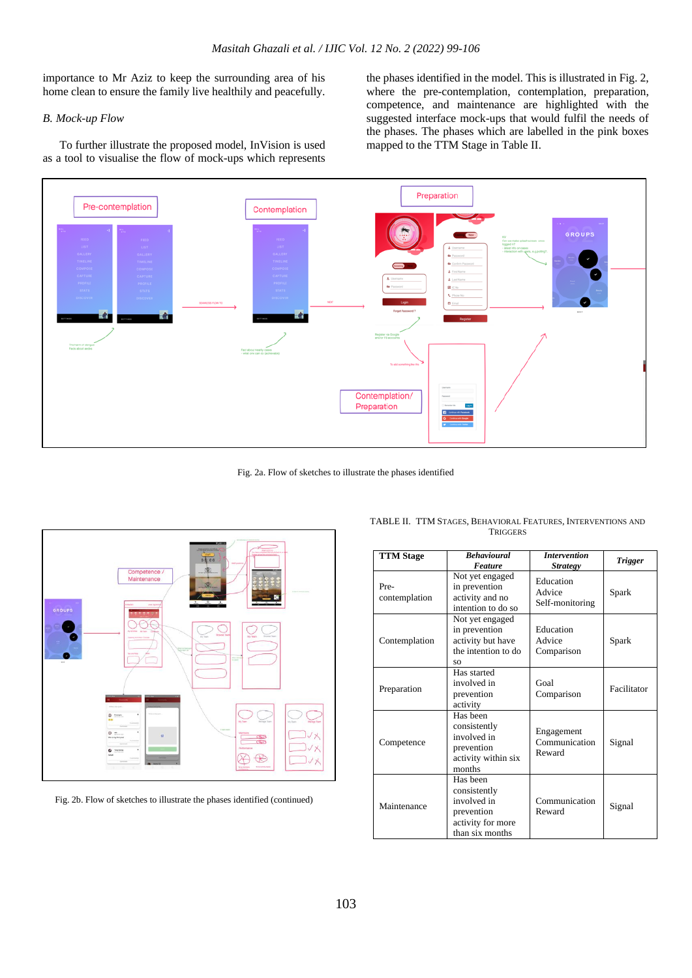importance to Mr Aziz to keep the surrounding area of his home clean to ensure the family live healthily and peacefully.

## *B. Mock-up Flow*

To further illustrate the proposed model, InVision is used as a tool to visualise the flow of mock-ups which represents

the phases identified in the model. This is illustrated in Fig. 2, where the pre-contemplation, contemplation, preparation, competence, and maintenance are highlighted with the suggested interface mock-ups that would fulfil the needs of the phases. The phases which are labelled in the pink boxes mapped to the TTM Stage in Table II.



Fig. 2a. Flow of sketches to illustrate the phases identified



Fig. 2b. Flow of sketches to illustrate the phases identified (continued)

| <b>TTM Stage</b>      | <b>Behavioural</b><br><b>Feature</b>                                                          | <b>Intervention</b><br><b>Strategy</b> | <b>Trigger</b> |
|-----------------------|-----------------------------------------------------------------------------------------------|----------------------------------------|----------------|
| Pre-<br>contemplation | Not yet engaged<br>in prevention<br>activity and no<br>intention to do so                     | Education<br>Advice<br>Self-monitoring | Spark          |
| Contemplation         | Not yet engaged<br>in prevention<br>activity but have<br>the intention to do<br>SO            | Education<br>Advice<br>Comparison      | Spark          |
| Preparation           | Has started<br>involved in<br>prevention<br>activity                                          | Goal<br>Comparison                     | Facilitator    |
| Competence            | Has been<br>consistently<br>involved in<br>prevention<br>activity within six<br>months        | Engagement<br>Communication<br>Reward  | Signal         |
| Maintenance           | Has been<br>consistently<br>involved in<br>prevention<br>activity for more<br>than six months | Communication<br>Reward                | Signal         |

TABLE II. TTM STAGES, BEHAVIORAL FEATURES, INTERVENTIONS AND **TRIGGERS**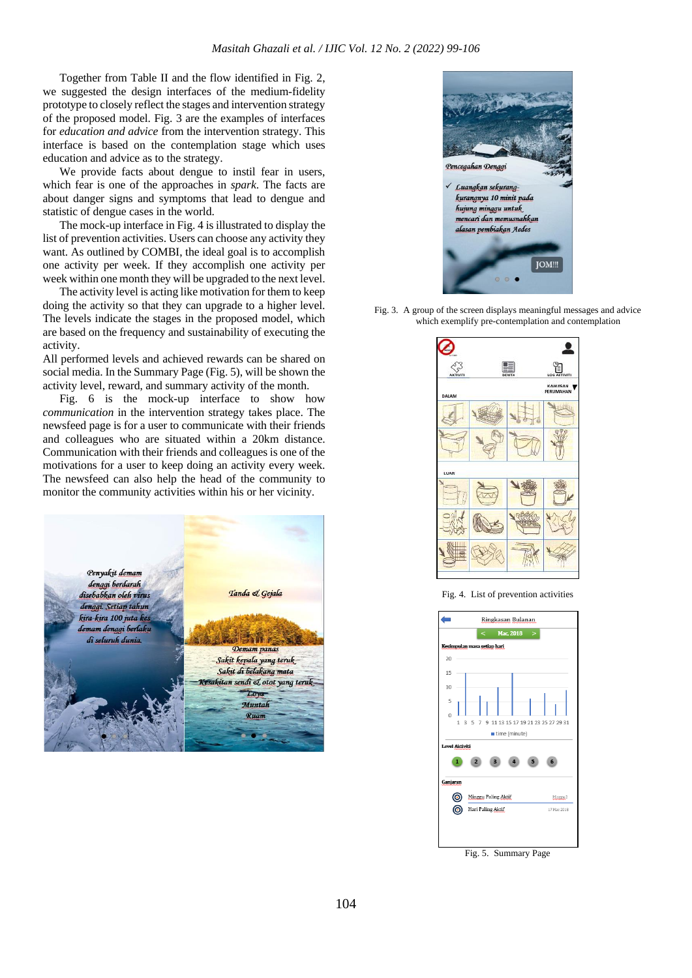Together from Table II and the flow identified in Fig. 2, we suggested the design interfaces of the medium-fidelity prototype to closely reflect the stages and intervention strategy of the proposed model. Fig. 3 are the examples of interfaces for *education and advice* from the intervention strategy. This interface is based on the contemplation stage which uses education and advice as to the strategy.

We provide facts about dengue to instil fear in users, which fear is one of the approaches in *spark*. The facts are about danger signs and symptoms that lead to dengue and statistic of dengue cases in the world.

The mock-up interface in Fig. 4 is illustrated to display the list of prevention activities. Users can choose any activity they want. As outlined by COMBI, the ideal goal is to accomplish one activity per week. If they accomplish one activity per week within one month they will be upgraded to the next level.

The activity level is acting like motivation for them to keep doing the activity so that they can upgrade to a higher level. The levels indicate the stages in the proposed model, which are based on the frequency and sustainability of executing the activity.

All performed levels and achieved rewards can be shared on social media. In the Summary Page (Fig. 5), will be shown the activity level, reward, and summary activity of the month.

Fig. 6 is the mock-up interface to show how *communication* in the intervention strategy takes place. The newsfeed page is for a user to communicate with their friends and colleagues who are situated within a 20km distance. Communication with their friends and colleagues is one of the motivations for a user to keep doing an activity every week. The newsfeed can also help the head of the community to monitor the community activities within his or her vicinity.





Fig. 3. A group of the screen displays meaningful messages and advice which exemplify pre-contemplation and contemplation



Fig. 4. List of prevention activities



Fig. 5. Summary Page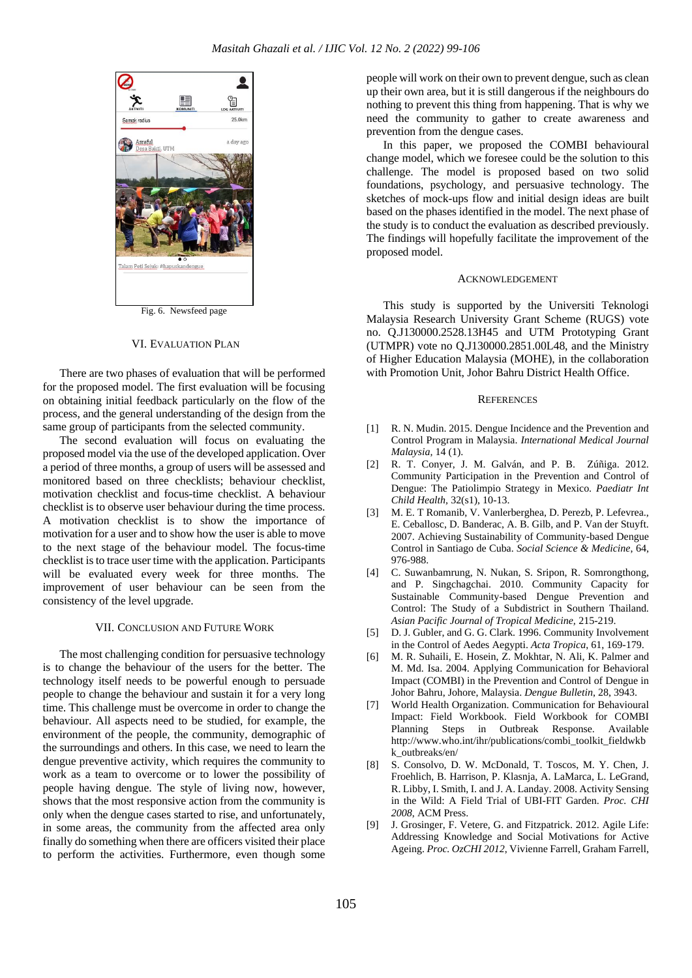

Fig. 6. Newsfeed page

#### VI. EVALUATION PLAN

There are two phases of evaluation that will be performed for the proposed model. The first evaluation will be focusing on obtaining initial feedback particularly on the flow of the process, and the general understanding of the design from the same group of participants from the selected community.

The second evaluation will focus on evaluating the proposed model via the use of the developed application. Over a period of three months, a group of users will be assessed and monitored based on three checklists; behaviour checklist, motivation checklist and focus-time checklist. A behaviour checklist is to observe user behaviour during the time process. A motivation checklist is to show the importance of motivation for a user and to show how the user is able to move to the next stage of the behaviour model. The focus-time checklist is to trace user time with the application. Participants will be evaluated every week for three months. The improvement of user behaviour can be seen from the consistency of the level upgrade.

## VII. CONCLUSION AND FUTURE WORK

The most challenging condition for persuasive technology is to change the behaviour of the users for the better. The technology itself needs to be powerful enough to persuade people to change the behaviour and sustain it for a very long time. This challenge must be overcome in order to change the behaviour. All aspects need to be studied, for example, the environment of the people, the community, demographic of the surroundings and others. In this case, we need to learn the dengue preventive activity, which requires the community to work as a team to overcome or to lower the possibility of people having dengue. The style of living now, however, shows that the most responsive action from the community is only when the dengue cases started to rise, and unfortunately, in some areas, the community from the affected area only finally do something when there are officers visited their place to perform the activities. Furthermore, even though some

people will work on their own to prevent dengue, such as clean up their own area, but it is still dangerous if the neighbours do nothing to prevent this thing from happening. That is why we need the community to gather to create awareness and prevention from the dengue cases.

In this paper, we proposed the COMBI behavioural change model, which we foresee could be the solution to this challenge. The model is proposed based on two solid foundations, psychology, and persuasive technology. The sketches of mock-ups flow and initial design ideas are built based on the phases identified in the model. The next phase of the study is to conduct the evaluation as described previously. The findings will hopefully facilitate the improvement of the proposed model.

#### ACKNOWLEDGEMENT

This study is supported by the Universiti Teknologi Malaysia Research University Grant Scheme (RUGS) vote no. Q.J130000.2528.13H45 and UTM Prototyping Grant (UTMPR) vote no Q.J130000.2851.00L48, and the Ministry of Higher Education Malaysia (MOHE), in the collaboration with Promotion Unit, Johor Bahru District Health Office.

#### **REFERENCES**

- [1] R. N. Mudin. 2015. Dengue Incidence and the Prevention and Control Program in Malaysia. *International Medical Journal Malaysia,* 14 (1).
- [2] R. T. Conyer, J. M. Galván, and P. B. Zúñiga. 2012. Community Participation in the Prevention and Control of Dengue: The Patiolimpio Strategy in Mexico. *Paediatr Int Child Health,* 32(s1), 10-13.
- [3] M. E. T Romanib, V. Vanlerberghea, D. Perezb, P. Lefevrea., E. Ceballosc, D. Banderac, A. B. Gilb, and P. Van der Stuyft. 2007. Achieving Sustainability of Community-based Dengue Control in Santiago de Cuba. *Social Science & Medicine*, 64, 976-988.
- [4] C. Suwanbamrung, N. Nukan, S. Sripon, R. Somrongthong, and P. Singchagchai. 2010. Community Capacity for Sustainable Community-based Dengue Prevention and Control: The Study of a Subdistrict in Southern Thailand. *Asian Pacific Journal of Tropical Medicine,* 215-219.
- [5] D. J. Gubler, and G. G. Clark. 1996. Community Involvement in the Control of Aedes Aegypti. *Acta Tropica*, 61, 169-179.
- [6] M. R. Suhaili, E. Hosein, Z. Mokhtar, N. Ali, K. Palmer and M. Md. Isa. 2004. Applying Communication for Behavioral Impact (COMBI) in the Prevention and Control of Dengue in Johor Bahru, Johore, Malaysia. *Dengue Bulletin*, 28, 3943.
- [7] World Health Organization. Communication for Behavioural Impact: Field Workbook. Field Workbook for COMBI Planning Steps in Outbreak Response. Available http://www.who.int/ihr/publications/combi\_toolkit\_fieldwkb k\_outbreaks/en/
- [8] S. Consolvo, D. W. McDonald, T. Toscos, M. Y. Chen, J. Froehlich, B. Harrison, P. Klasnja, A. LaMarca, L. LeGrand, R. Libby, I. Smith, I. and J. A. Landay. 2008. Activity Sensing in the Wild: A Field Trial of UBI-FIT Garden. *Proc. CHI 2008*, ACM Press.
- [9] J. Grosinger, F. Vetere, G. and Fitzpatrick. 2012. Agile Life: Addressing Knowledge and Social Motivations for Active Ageing. *Proc. OzCHI 2012*, Vivienne Farrell, Graham Farrell,